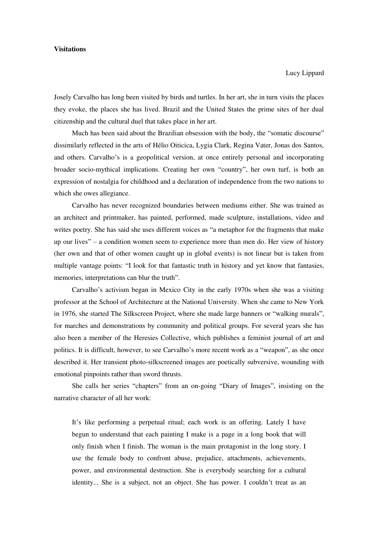## **Visitations**

Josely Carvalho has long been visited by birds and turtles. In her art, she in turn visits the places they evoke, the places she has lived. Brazil and the United States the prime sites of her dual citizenship and the cultural duel that takes place in her art.

Much has been said about the Brazilian obsession with the body, the "somatic discourse" dissimilarly reflected in the arts of Hélio Oiticica, Lygia Clark, Regina Vater, Jonas dos Santos, and others. Carvalho's is a geopolitical version, at once entirely personal and incorporating broader socio-mythical implications. Creating her own "country", her own turf, is both an expression of nostalgia for childhood and a declaration of independence from the two nations to which she owes allegiance.

Carvalho has never recognized boundaries between mediums either. She was trained as an architect and printmaker, has painted, performed, made sculpture, installations, video and writes poetry. She has said she uses different voices as "a metaphor for the fragments that make up our lives" – a condition women seem to experience more than men do. Her view of history (her own and that of other women caught up in global events) is not linear but is taken from multiple vantage points: "I look for that fantastic truth in history and yet know that fantasies, memories, interpretations can blur the truth".

Carvalho's activism began in Mexico City in the early 1970s when she was a visiting professor at the School of Architecture at the National University. When she came to New York in 1976, she started The Silkscreen Project, where she made large banners or "walking murals", for marches and demonstrations by community and political groups. For several years she has also been a member of the Heresies Collective, which publishes a feminist journal of art and politics. It is difficult, however, to see Carvalho's more recent work as a "weapon", as she once described it. Her transient photo-silkscreened images are poetically subversive, wounding with emotional pinpoints rather than sword thrusts.

She calls her series "chapters" from an on-going "Diary of Images", insisting on the narrative character of all her work:

It's like performing a perpetual ritual; each work is an offering. Lately I have begun to understand that each painting I make is a page in a long book that will only finish when I finish. The woman is the main protagonist in the long story. I use the female body to confront abuse, prejudice, attachments, achievements, power, and environmental destruction. She is everybody searching for a cultural identity... She is a subject, not an object. She has power. I couldn't treat as an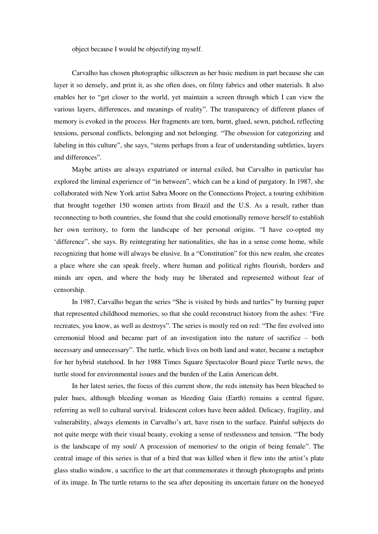object because I would be objectifying myself.

Carvalho has chosen photographic silkscreen as her basic medium in part because she can layer it so densely, and print it, as she often does, on filmy fabrics and other materials. It also enables her to "get closer to the world, yet maintain a screen through which I can view the various layers, differences, and meanings of reality". The transparency of different planes of memory is evoked in the process. Her fragments are torn, burnt, glued, sewn, patched, reflecting tensions, personal conflicts, belonging and not belonging. "The obsession for categorizing and labeling in this culture", she says, "stems perhaps from a fear of understanding subtleties, layers and differences".

Maybe artists are always expatriated or internal exiled, but Carvalho in particular has explored the liminal experience of "in between", which can be a kind of purgatory. In 1987, she collaborated with New York artist Sabra Moore on the Connections Project, a touring exhibition that brought together 150 women artists from Brazil and the U.S. As a result, rather than reconnecting to both countries, she found that she could emotionally remove herself to establish her own territory, to form the landscape of her personal origins. "I have co-opted my 'difference", she says. By reintegrating her nationalities, she has in a sense come home, while recognizing that home will always be elusive. In a "Constitution" for this new realm, she creates a place where she can speak freely, where human and political rights flourish, borders and minds are open, and where the body may be liberated and represented without fear of censorship.

In 1987, Carvalho began the series "She is visited by birds and turtles" by burning paper that represented childhood memories, so that she could reconstruct history from the ashes: "Fire recreates, you know, as well as destroys". The series is mostly red on red: "The fire evolved into ceremonial blood and became part of an investigation into the nature of sacrifice – both necessary and unnecessary". The turtle, which lives on both land and water, became a metaphor for her hybrid statehood. In her 1988 Times Square Spectacolor Board piece Turtle news, the turtle stood for environmental issues and the burden of the Latin American debt.

In her latest series, the focus of this current show, the reds intensity has been bleached to paler hues, although bleeding woman as bleeding Gaia (Earth) remains a central figure, referring as well to cultural survival. Iridescent colors have been added. Delicacy, fragility, and vulnerability, always elements in Carvalho's art, have risen to the surface. Painful subjects do not quite merge with their visual beauty, evoking a sense of restlessness and tension. "The body is the landscape of my soul/ A procession of memories/ to the origin of being female". The central image of this series is that of a bird that was killed when it flew into the artist's plate glass studio window, a sacrifice to the art that commemorates it through photographs and prints of its image. In The turtle returns to the sea after depositing its uncertain future on the honeyed